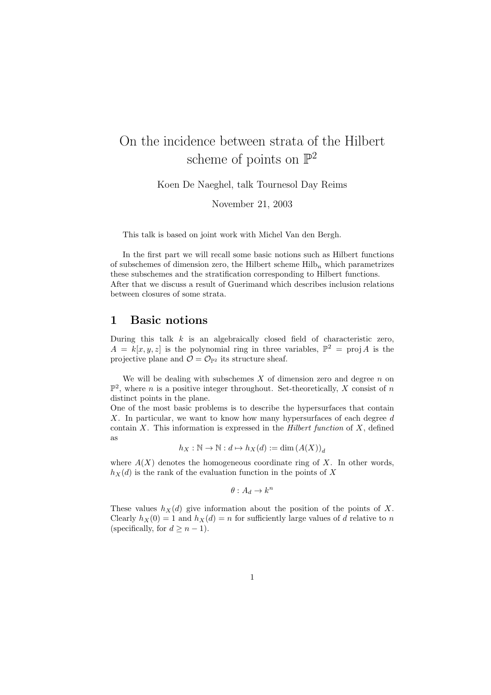## On the incidence between strata of the Hilbert scheme of points on  $\mathbb{P}^2$

Koen De Naeghel, talk Tournesol Day Reims

November 21, 2003

This talk is based on joint work with Michel Van den Bergh.

In the first part we will recall some basic notions such as Hilbert functions of subschemes of dimension zero, the Hilbert scheme  $Hilb<sub>n</sub>$  which parametrizes these subschemes and the stratification corresponding to Hilbert functions. After that we discuss a result of Guerimand which describes inclusion relations between closures of some strata.

## 1 Basic notions

During this talk  $k$  is an algebraically closed field of characteristic zero,  $A = \tilde{k}[x, y, z]$  is the polynomial ring in three variables,  $\mathbb{P}^2 = \text{proj }A$  is the projective plane and  $\mathcal{O} = \mathcal{O}_{\mathbb{P}^2}$  its structure sheaf.

We will be dealing with subschemes  $X$  of dimension zero and degree  $n$  on  $\mathbb{P}^2$ , where *n* is a positive integer throughout. Set-theoretically, *X* consist of *n* distinct points in the plane.

One of the most basic problems is to describe the hypersurfaces that contain X. In particular, we want to know how many hypersurfaces of each degree d contain  $X$ . This information is expressed in the *Hilbert function* of  $X$ , defined as

 $h_X : \mathbb{N} \to \mathbb{N} : d \mapsto h_X(d) := \dim (A(X))_d$ 

where  $A(X)$  denotes the homogeneous coordinate ring of X. In other words,  $h_X(d)$  is the rank of the evaluation function in the points of X

 $\theta: A_d \to k^n$ 

These values  $h_X(d)$  give information about the position of the points of X. Clearly  $h_X(0) = 1$  and  $h_X(d) = n$  for sufficiently large values of d relative to n (specifically, for  $d \geq n-1$ ).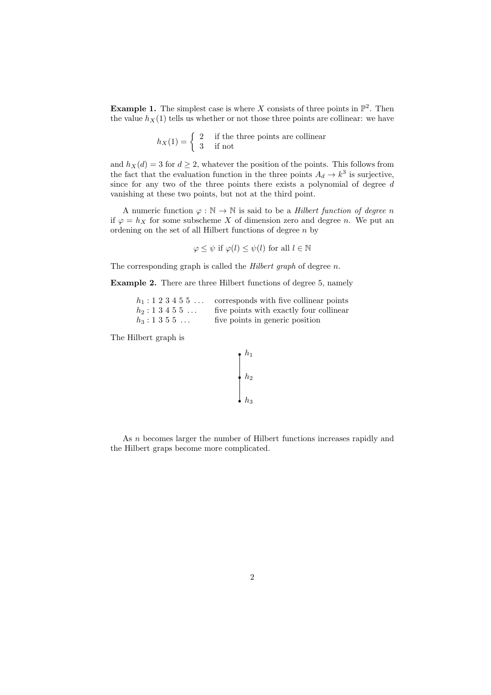**Example 1.** The simplest case is where X consists of three points in  $\mathbb{P}^2$ . Then the value  $h_X(1)$  tells us whether or not those three points are collinear: we have

$$
h_X(1) = \begin{cases} 2 & \text{if the three points are collinear} \\ 3 & \text{if not} \end{cases}
$$

and  $h_X(d) = 3$  for  $d \geq 2$ , whatever the position of the points. This follows from the fact that the evaluation function in the three points  $A_d \to k^3$  is surjective, since for any two of the three points there exists a polynomial of degree d vanishing at these two points, but not at the third point.

A numeric function  $\varphi : \mathbb{N} \to \mathbb{N}$  is said to be a *Hilbert function of degree n* if  $\varphi = h_X$  for some subscheme X of dimension zero and degree n. We put an ordening on the set of all Hilbert functions of degree  $n$  by

 $\varphi \leq \psi$  if  $\varphi(l) \leq \psi(l)$  for all  $l \in \mathbb{N}$ 

The corresponding graph is called the *Hilbert graph* of degree  $n$ .

Example 2. There are three Hilbert functions of degree 5, namely

|                                        | $h_1: 1\ 2\ 3\ 4\ 5\ 5\ \ldots$ corresponds with five collinear points |
|----------------------------------------|------------------------------------------------------------------------|
| $h_2: 1 \; 3 \; 4 \; 5 \; 5 \; \ldots$ | five points with exactly four collinear                                |
| $h_3: 1 \; 3 \; 5 \; 5 \; \ldots$      | five points in generic position                                        |

The Hilbert graph is

$$
\begin{bmatrix}\nh_1 \\
h_2 \\
h_3\n\end{bmatrix}
$$

As n becomes larger the number of Hilbert functions increases rapidly and the Hilbert graps become more complicated.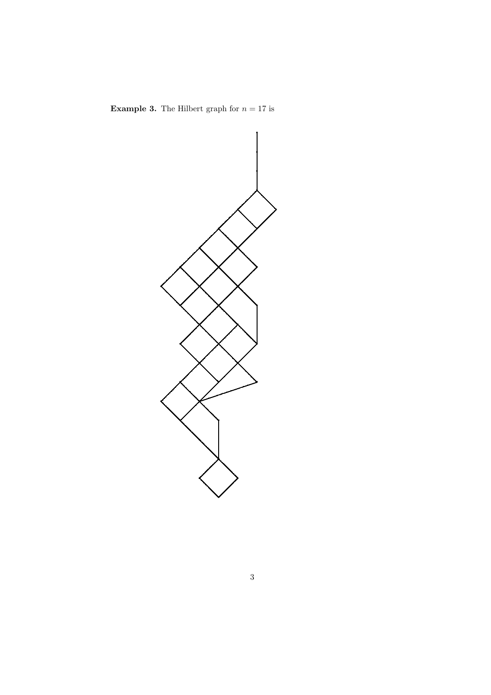

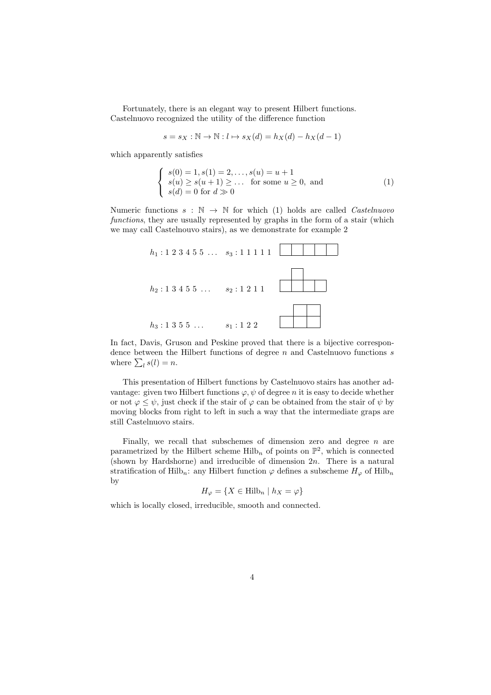Fortunately, there is an elegant way to present Hilbert functions. Castelnuovo recognized the utility of the difference function

$$
s = s_X : \mathbb{N} \to \mathbb{N} : l \mapsto s_X(d) = h_X(d) - h_X(d-1)
$$

which apparently satisfies

$$
\begin{cases}\ns(0) = 1, s(1) = 2, \dots, s(u) = u + 1 \\
s(u) \ge s(u+1) \ge \dots \text{ for some } u \ge 0, \text{ and} \\
s(d) = 0 \text{ for } d \gg 0\n\end{cases}
$$
\n(1)

Numeric functions  $s : \mathbb{N} \to \mathbb{N}$  for which (1) holds are called *Castelnuovo* functions, they are usually represented by graphs in the form of a stair (which we may call Castelnouvo stairs), as we demonstrate for example 2



In fact, Davis, Gruson and Peskine proved that there is a bijective correspondence between the Hilbert functions of degree  $n$  and Castelnuovo functions  $s$ where  $\sum_l s(l) = n$ .

This presentation of Hilbert functions by Castelnuovo stairs has another advantage: given two Hilbert functions  $\varphi, \psi$  of degree n it is easy to decide whether or not  $\varphi \leq \psi$ , just check if the stair of  $\varphi$  can be obtained from the stair of  $\psi$  by moving blocks from right to left in such a way that the intermediate graps are still Castelnuovo stairs.

Finally, we recall that subschemes of dimension zero and degree  $n$  are parametrized by the Hilbert scheme  $Hilb_n$  of points on  $\mathbb{P}^2$ , which is connected (shown by Hardshorne) and irreducible of dimension  $2n$ . There is a natural stratification of Hilb<sub>n</sub>: any Hilbert function  $\varphi$  defines a subscheme  $H_{\varphi}$  of Hilb<sub>n</sub> by

$$
H_{\varphi} = \{ X \in \text{Hilb}_n \mid h_X = \varphi \}
$$

which is locally closed, irreducible, smooth and connected.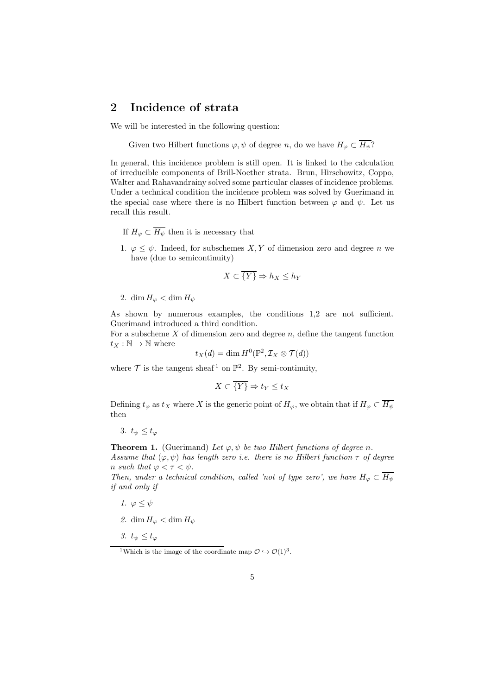## 2 Incidence of strata

We will be interested in the following question:

Given two Hilbert functions  $\varphi, \psi$  of degree n, do we have  $H_{\varphi} \subset \overline{H_{\psi}}$ ?

In general, this incidence problem is still open. It is linked to the calculation of irreducible components of Brill-Noether strata. Brun, Hirschowitz, Coppo, Walter and Rahavandrainy solved some particular classes of incidence problems. Under a technical condition the incidence problem was solved by Guerimand in the special case where there is no Hilbert function between  $\varphi$  and  $\psi$ . Let us recall this result.

- If  $H_{\varphi} \subset \overline{H_{\psi}}$  then it is necessary that
- 1.  $\varphi \leq \psi$ . Indeed, for subschemes X, Y of dimension zero and degree n we have (due to semicontinuity)

$$
X \subset \overline{\{Y\}} \Rightarrow h_X \le h_Y
$$

2. dim  $H_{\varphi} < \dim H_{\psi}$ 

As shown by numerous examples, the conditions 1,2 are not sufficient. Guerimand introduced a third condition.

For a subscheme  $X$  of dimension zero and degree  $n$ , define the tangent function  $t_X : \mathbb{N} \to \mathbb{N}$  where

$$
t_X(d)=\dim H^0(\mathbb{P}^2, \mathcal{I}_X\otimes \mathcal{T}(d))
$$

where  $\mathcal T$  is the tangent sheaf<sup>1</sup> on  $\mathbb P^2$ . By semi-continuity,

$$
X \subset \overline{\{Y\}} \Rightarrow t_Y \le t_X
$$

Defining  $t_{\varphi}$  as  $t_X$  where X is the generic point of  $H_{\varphi}$ , we obtain that if  $H_{\varphi} \subset \overline{H_{\psi}}$ then

3.  $t_{\psi} < t_{\varphi}$ 

**Theorem 1.** (Guerimand) Let  $\varphi, \psi$  be two Hilbert functions of degree n. Assume that  $(\varphi, \psi)$  has length zero i.e. there is no Hilbert function  $\tau$  of degree n such that  $\varphi < \tau < \psi$ .

Then, under a technical condition, called 'not of type zero', we have  $H_{\varphi} \subset \overline{H_{\psi}}$ if and only if

- 1.  $\varphi \leq \psi$
- 2. dim  $H_{\varphi} < \dim H_{\psi}$
- 3.  $t_{\psi} \leq t_{\varphi}$

<sup>&</sup>lt;sup>1</sup>Which is the image of the coordinate map  $\mathcal{O} \hookrightarrow \mathcal{O}(1)^3$ .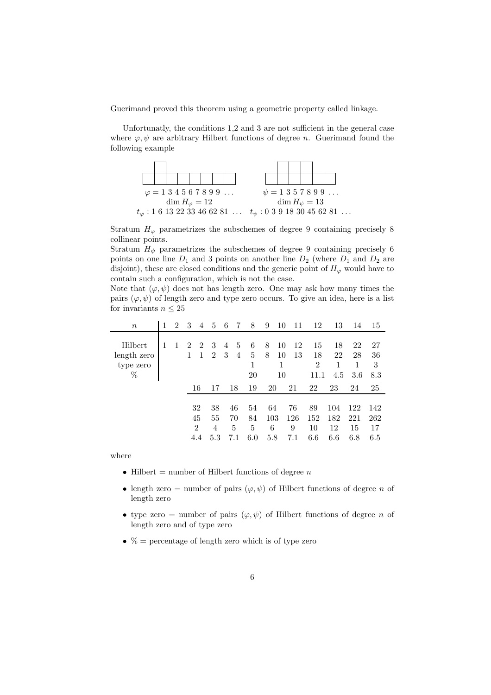Guerimand proved this theorem using a geometric property called linkage.

Unfortunatly, the conditions 1,2 and 3 are not sufficient in the general case where  $\varphi, \psi$  are arbitrary Hilbert functions of degree n. Guerimand found the following example



Stratum  $H_{\varphi}$  parametrizes the subschemes of degree 9 containing precisely 8 collinear points.

Stratum  $H_{\psi}$  parametrizes the subschemes of degree 9 containing precisely 6 points on one line  $D_1$  and 3 points on another line  $D_2$  (where  $D_1$  and  $D_2$  are disjoint), these are closed conditions and the generic point of  $H_{\varphi}$  would have to contain such a configuration, which is not the case.

Note that  $(\varphi, \psi)$  does not has length zero. One may ask how many times the pairs  $(\varphi, \psi)$  of length zero and type zero occurs. To give an idea, here is a list for invariants  $n\leq 25$ 

| $\, n \,$                                | 1 | $\overline{2}$ | 3                                | 4                                 | 5                    | 6      | -7                   | 8                    | 9                     | 10             | 11                    | 12                                 | 13                      | 14                      | 15                      |
|------------------------------------------|---|----------------|----------------------------------|-----------------------------------|----------------------|--------|----------------------|----------------------|-----------------------|----------------|-----------------------|------------------------------------|-------------------------|-------------------------|-------------------------|
| Hilbert<br>length zero<br>type zero<br>% | 1 |                | $\mathcal{D}_{\mathcal{L}}$<br>1 | $\overline{2}$<br>1               | 3<br>$\overline{2}$  | 4<br>3 | 5<br>4               | 6<br>5<br>1<br>20    | 8<br>8                | 10<br>10<br>10 | 12<br>13              | 15<br>18<br>$\overline{2}$<br>11.1 | 18<br>22<br>4.5         | 22<br>28<br>3.6         | 27<br>36<br>3<br>8.3    |
|                                          |   |                |                                  | 16                                | 17                   |        | 18                   | 19                   | 20                    |                | 21                    | 22                                 | 23                      | 24                      | 25                      |
|                                          |   |                |                                  | 32<br>45<br>$\overline{2}$<br>4.4 | 38<br>55<br>4<br>5.3 |        | 46<br>70<br>5<br>7.1 | 54<br>84<br>5<br>6.0 | 64<br>103<br>6<br>5.8 |                | 76<br>126<br>9<br>7.1 | 89<br>152<br>10<br>6.6             | 104<br>182<br>12<br>6.6 | 122<br>221<br>15<br>6.8 | 142<br>262<br>17<br>6.5 |

where

- Hilbert = number of Hilbert functions of degree  $n$
- length zero = number of pairs  $(\varphi, \psi)$  of Hilbert functions of degree n of length zero
- type zero = number of pairs  $(\varphi, \psi)$  of Hilbert functions of degree n of length zero and of type zero
- $\%$  = percentage of length zero which is of type zero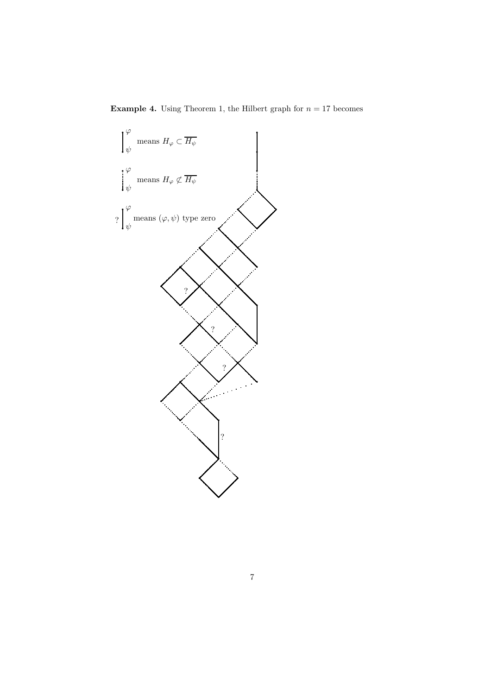**Example 4.** Using Theorem 1, the Hilbert graph for  $n = 17$  becomes